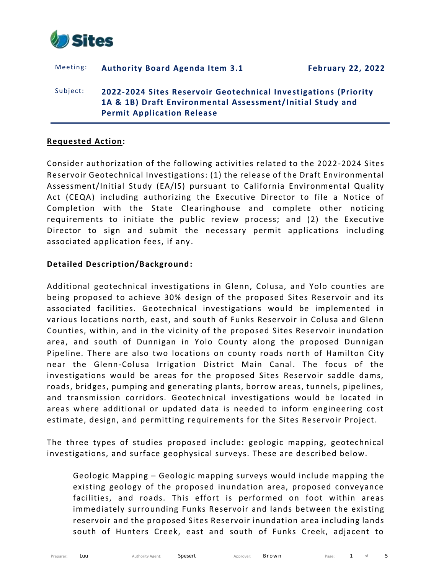

# Meeting: **Authority Board Agenda Item 3.1 February 22, 2022** Subject: **2022-2024 Sites Reservoir Geotechnical Investigations (Priority 1A & 1B) Draft Environmental Assessment/ Initial Study and Permit Application Release**

#### **Requested Action:**

Consider authorization of the following activities related to the 2022-2024 Sites Reservoir Geotechnical Investigations: (1) the release of the Draft Environmental Assessment/Initial Study (EA/IS) pursuant to California Environmental Quality Act (CEQA) including authorizing the Executive Director to file a Notice of Completion with the State Clearinghouse and complete other noticing requirements to initiate the public review process; and (2) the Executive Director to sign and submit the necessary permit applications including associated application fees, if any .

#### **Detailed Description/Background:**

Additional geotechnical investigations in Glenn, Colusa, and Yolo counties are being proposed to achieve 30% design of the proposed Sites Reservoir and its associated facilities. Geotechnical investigations would be implemented in various locations north, east, and south of Funks Reservoir in Colusa and Glenn Counties, within, and in the vicinity of the proposed Sites Reservoir inundation area, and south of Dunnigan in Yolo County along the proposed Dunnigan Pipeline. There are also two locations on county roads north of Hamilton City near the Glenn-Colusa Irrigation District Main Canal. The focus of the investigations would be areas for the proposed Sites Reservoir saddle dams, roads, bridges, pumping and generating plants, borrow areas, tunnels, pipelines, and transmission corridors. Geotechnical investigations would be located in areas where additional or updated data is needed to inform engineering cost estimate, design, and permitting requirements for the Sites Reservoir Project.

The three types of studies proposed include: geologic mapping, geotechnical investigations, and surface geophysical surveys. These are described below.

Geologic Mapping – Geologic mapping surveys would include mapping the existing geology of the proposed inundation area, proposed conveyance facilities, and roads. This effort is performed on foot within areas immediately surrounding Funks Reservoir and lands between the existing reservoir and the proposed Sites Reservoir inundation area including lands south of Hunters Creek, east and south of Funks Creek, adjacent to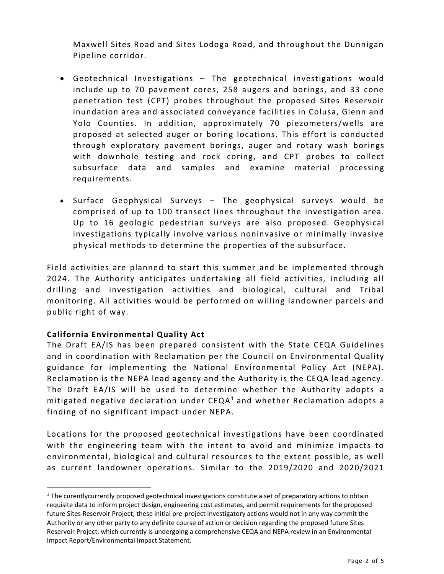Maxwell Sites Road and Sites Lodoga Road, and throughout the Dunnigan Pipeline corridor.

- Geotechnical Investigations The geotechnical investigations would include up to 70 pavement cores, 258 augers and borings, and 33 cone penetration test (CPT) probes throughout the proposed Sites Reservoir inundation area and associated conveyance facilities in Colusa, Glenn and Yolo Counties. In addition, approximately 70 piezometers/wells are proposed at selected auger or boring locations. This effort is conducted through exploratory pavement borings, auger and rotary wash borings with downhole testing and rock coring, and CPT probes to collect subsurface data and samples and examine material processing requirements.
- Surface Geophysical Surveys The geophysical surveys would be comprised of up to 100 transect lines throughout the investigation area. Up to 16 geologic pedestrian surveys are also proposed. Geophysical investigations typically involve various noninvasive or minimally invasive physical methods to determine the properties of the subsurface.

Field activities are planned to start this summer and be implemented through 2024. The Authority anticipates undertaking all field activities, including all drilling and investigation activities and biological, cultural and Tribal monitoring. All activities would be performed on willing landowner parcels and public right of way.

# **California Environmental Quality Act**

The Draft EA/IS has been prepared consistent with the State CEQA Guidelines and in coordination with Reclamation per the Council on Environmental Quality guidance for implementing the National Environmental Policy Act (NEPA). Reclamation is the NEPA lead agency and the Authority is the CEQA lead agency. The Draft EA/IS will be used to determine whether the Authority adopts a mitigated negative declaration under  $CEQA<sup>1</sup>$  and whether Reclamation adopts a finding of no significant impact under NEPA.

Locations for the proposed geotechnical investigations have been coordinated with the engineering team with the intent to avoid and minimize impacts to environmental, biological and cultural resources to the extent possible, as well as current landowner operations. Similar to the 2019/2020 and 2020/2021

<sup>&</sup>lt;sup>1</sup> The curentlycurrently proposed geotechnical investigations constitute a set of preparatory actions to obtain requisite data to inform project design, engineering cost estimates, and permit requirements for the proposed future Sites Reservoir Project; these initial pre-project investigatory actions would not in any way commit the Authority or any other party to any definite course of action or decision regarding the proposed future Sites Reservoir Project, which currently is undergoing a comprehensive CEQA and NEPA review in an Environmental Impact Report/Environmental Impact Statement.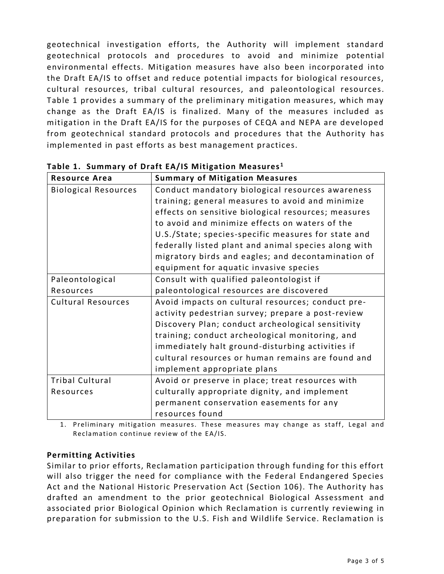geotechnical investigation efforts, the Authority will implement standard geotechnical protocols and procedures to avoid and minimize potential environmental effects. Mitigation measures have also been incorporated into the Draft EA/IS to offset and reduce potential impacts for biological resources, cultural resources, tribal cultural resources, and paleontological resources. Table 1 provides a summary of the preliminary mitigation measures, which may change as the Draft EA/IS is finalized. Many of the measures included as mitigation in the Draft EA/IS for the purposes of CEQA and NEPA are developed from geotechnical standard protocols and procedures that the Authority has implemented in past efforts as best management practices.

| <b>Resource Area</b>        | <b>Summary of Mitigation Measures</b>                |
|-----------------------------|------------------------------------------------------|
| <b>Biological Resources</b> | Conduct mandatory biological resources awareness     |
|                             | training; general measures to avoid and minimize     |
|                             | effects on sensitive biological resources; measures  |
|                             | to avoid and minimize effects on waters of the       |
|                             | U.S./State; species-specific measures for state and  |
|                             | federally listed plant and animal species along with |
|                             | migratory birds and eagles; and decontamination of   |
|                             | equipment for aquatic invasive species               |
| Paleontological             | Consult with qualified paleontologist if             |
| Resources                   | paleontological resources are discovered             |
| <b>Cultural Resources</b>   | Avoid impacts on cultural resources; conduct pre-    |
|                             | activity pedestrian survey; prepare a post-review    |
|                             | Discovery Plan; conduct archeological sensitivity    |
|                             | training; conduct archeological monitoring, and      |
|                             | immediately halt ground-disturbing activities if     |
|                             | cultural resources or human remains are found and    |
|                             | implement appropriate plans                          |
| <b>Tribal Cultural</b>      | Avoid or preserve in place; treat resources with     |
| Resources                   | culturally appropriate dignity, and implement        |
|                             | permanent conservation easements for any             |
|                             | resources found                                      |

**Table 1. Summary of Draft EA/IS Mitigation Measures <sup>1</sup>**

1. Preliminary mitigation measures. These measures may change as staff, Legal and Reclamation continue review of the EA/IS.

# **Permitting Activities**

Similar to prior efforts, Reclamation participation through funding for this effort will also trigger the need for compliance with the Federal Endangered Species Act and the National Historic Preservation Act (Section 106). The Authority has drafted an amendment to the prior geotechnical Biological Assessment and associated prior Biological Opinion which Reclamation is currently reviewing in preparation for submission to the U.S. Fish and Wildlife Service. Reclamation is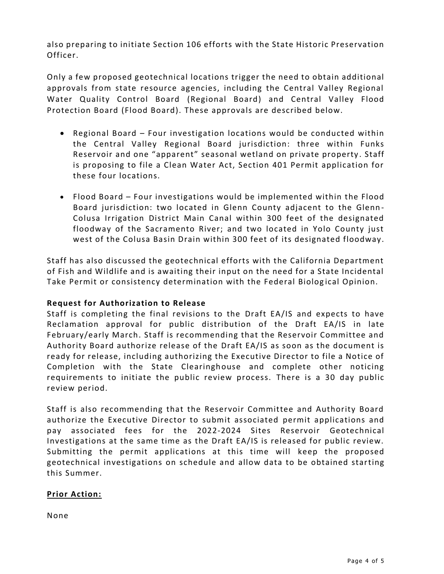also preparing to initiate Section 106 efforts with the State Historic Preservation Officer.

Only a few proposed geotechnical locations trigger the need to obtain additional approvals from state resource agencies, including the Central Valley Regional Water Quality Control Board (Regional Board) and Central Valley Flood Protection Board (Flood Board). These approvals are described below.

- Regional Board Four investigation locations would be conducted within the Central Valley Regional Board jurisdiction: three within Funks Reservoir and one "apparent" seasonal wetland on private property . Staff is proposing to file a Clean Water Act, Section 401 Permit application for these four locations.
- Flood Board Four investigations would be implemented within the Flood Board jurisdiction: two located in Glenn County adjacent to the Glenn - Colusa Irrigation District Main Canal within 300 feet of the designated floodway of the Sacramento River; and two located in Yolo County just west of the Colusa Basin Drain within 300 feet of its designated floodway.

Staff has also discussed the geotechnical efforts with the California Department of Fish and Wildlife and is awaiting their input on the need for a State Incidental Take Permit or consistency determination with the Federal Biolog ical Opinion.

# **Request for Authorization to Release**

Staff is completing the final revisions to the Draft EA/IS and expects to have Reclamation approval for public distribution of the Draft EA/IS in late February/early March. Staff is recommending that the Reservoir Committee and Authority Board authorize release of the Draft EA/IS as soon as the document is ready for release, including authorizing the Executive Director to file a Notice of Completion with the State Clearinghouse and complete other noticing requirements to initiate the public review process. There is a 30 day public review period.

Staff is also recommending that the Reservoir Committee and Authority Board authorize the Executive Director to submit associated permit applications and pay associated fees for the 2022-2024 Sites Reservoir Geotechnical Investigations at the same time as the Draft EA/IS is released for public review. Submitting the permit applications at this time will keep the proposed geotechnical investigations on schedule and allow data to be obtained starting this Summer.

# **Prior Action:**

None